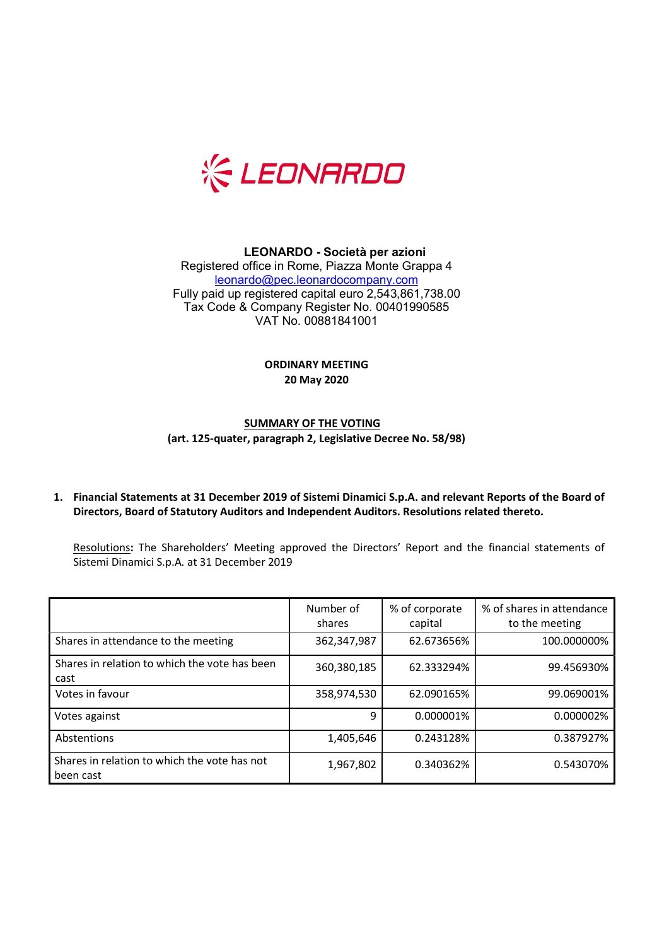

# LEONARDO - Società per azioni

Registered office in Rome, Piazza Monte Grappa 4 leonardo@pec.leonardocompany.com Fully paid up registered capital euro 2,543,861,738.00 Tax Code & Company Register No. 00401990585 VAT No. 00881841001

#### ORDINARY MEETING 20 May 2020

## SUMMARY OF THE VOTING (art. 125-quater, paragraph 2, Legislative Decree No. 58/98)

### 1. Financial Statements at 31 December 2019 of Sistemi Dinamici S.p.A. and relevant Reports of the Board of Directors, Board of Statutory Auditors and Independent Auditors. Resolutions related thereto.

Resolutions: The Shareholders' Meeting approved the Directors' Report and the financial statements of Sistemi Dinamici S.p.A. at 31 December 2019

|                                                           | Number of<br>shares | % of corporate<br>capital | % of shares in attendance<br>to the meeting |
|-----------------------------------------------------------|---------------------|---------------------------|---------------------------------------------|
| Shares in attendance to the meeting                       | 362,347,987         | 62.673656%                | 100.000000%                                 |
| Shares in relation to which the vote has been<br>cast     | 360,380,185         | 62.333294%                | 99.456930%                                  |
| Votes in favour                                           | 358,974,530         | 62.090165%                | 99.069001%                                  |
| Votes against                                             | q                   | 0.000001%                 | 0.000002%                                   |
| Abstentions                                               | 1,405,646           | 0.243128%                 | 0.387927%                                   |
| Shares in relation to which the vote has not<br>been cast | 1,967,802           | 0.340362%                 | 0.543070%                                   |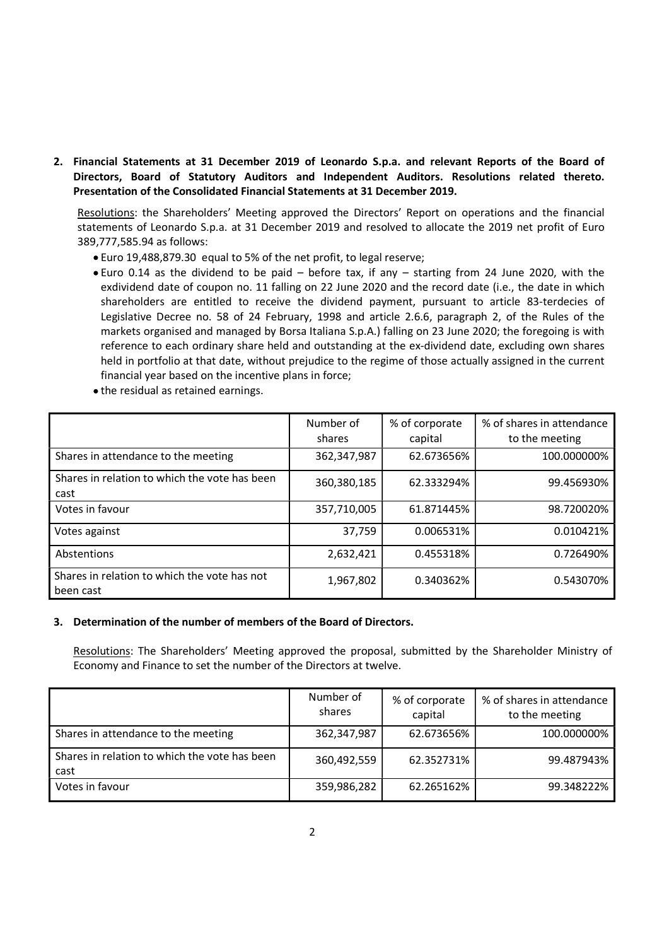2. Financial Statements at 31 December 2019 of Leonardo S.p.a. and relevant Reports of the Board of Directors, Board of Statutory Auditors and Independent Auditors. Resolutions related thereto. Presentation of the Consolidated Financial Statements at 31 December 2019.

Resolutions: the Shareholders' Meeting approved the Directors' Report on operations and the financial statements of Leonardo S.p.a. at 31 December 2019 and resolved to allocate the 2019 net profit of Euro 389,777,585.94 as follows:

- Euro 19,488,879.30 equal to 5% of the net profit, to legal reserve;
- Euro 0.14 as the dividend to be paid before tax, if any starting from 24 June 2020, with the exdividend date of coupon no. 11 falling on 22 June 2020 and the record date (i.e., the date in which shareholders are entitled to receive the dividend payment, pursuant to article 83-terdecies of Legislative Decree no. 58 of 24 February, 1998 and article 2.6.6, paragraph 2, of the Rules of the markets organised and managed by Borsa Italiana S.p.A.) falling on 23 June 2020; the foregoing is with reference to each ordinary share held and outstanding at the ex-dividend date, excluding own shares held in portfolio at that date, without prejudice to the regime of those actually assigned in the current financial year based on the incentive plans in force;

|  |  |  |  |  | • the residual as retained earnings. |
|--|--|--|--|--|--------------------------------------|
|--|--|--|--|--|--------------------------------------|

|                                                           | Number of<br>shares | % of corporate<br>capital | % of shares in attendance<br>to the meeting |
|-----------------------------------------------------------|---------------------|---------------------------|---------------------------------------------|
| Shares in attendance to the meeting                       | 362,347,987         | 62.673656%                | 100.000000%                                 |
| Shares in relation to which the vote has been<br>cast     | 360,380,185         | 62.333294%                | 99.456930%                                  |
| Votes in favour                                           | 357,710,005         | 61.871445%                | 98.720020%                                  |
| Votes against                                             | 37,759              | 0.006531%                 | 0.010421%                                   |
| Abstentions                                               | 2,632,421           | 0.455318%                 | 0.726490%                                   |
| Shares in relation to which the vote has not<br>been cast | 1,967,802           | 0.340362%                 | 0.543070%                                   |

# 3. Determination of the number of members of the Board of Directors.

Resolutions: The Shareholders' Meeting approved the proposal, submitted by the Shareholder Ministry of Economy and Finance to set the number of the Directors at twelve.

|                                                       | Number of<br>shares | % of corporate<br>capital | % of shares in attendance<br>to the meeting |
|-------------------------------------------------------|---------------------|---------------------------|---------------------------------------------|
| Shares in attendance to the meeting                   | 362,347,987         | 62.673656%                | 100.000000%                                 |
| Shares in relation to which the vote has been<br>cast | 360,492,559         | 62.352731%                | 99.487943%                                  |
| Votes in favour                                       | 359,986,282         | 62.265162%                | 99.348222%                                  |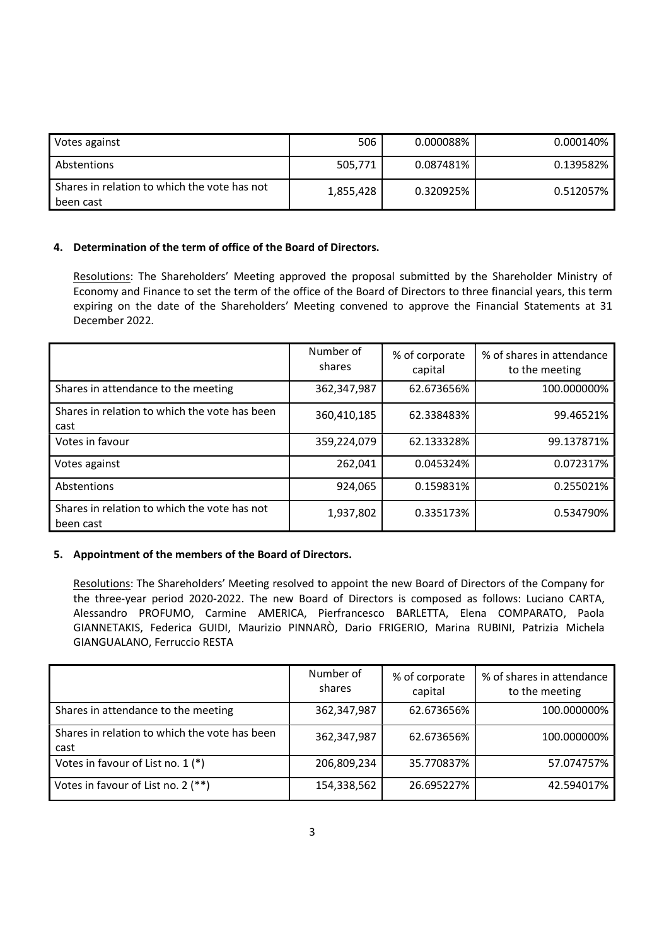| Votes against                                             | 506       | 0.000088% | 0.000140% |
|-----------------------------------------------------------|-----------|-----------|-----------|
| Abstentions                                               | 505,771   | 0.087481% | 0.139582% |
| Shares in relation to which the vote has not<br>been cast | 1,855,428 | 0.320925% | 0.512057% |

#### 4. Determination of the term of office of the Board of Directors.

Resolutions: The Shareholders' Meeting approved the proposal submitted by the Shareholder Ministry of Economy and Finance to set the term of the office of the Board of Directors to three financial years, this term expiring on the date of the Shareholders' Meeting convened to approve the Financial Statements at 31 December 2022.

|                                                           | Number of<br>shares | % of corporate<br>capital | % of shares in attendance<br>to the meeting |
|-----------------------------------------------------------|---------------------|---------------------------|---------------------------------------------|
| Shares in attendance to the meeting                       | 362,347,987         | 62.673656%                | 100.000000%                                 |
| Shares in relation to which the vote has been<br>cast     | 360,410,185         | 62.338483%                | 99.46521%                                   |
| Votes in favour                                           | 359,224,079         | 62.133328%                | 99.137871%                                  |
| Votes against                                             | 262,041             | 0.045324%                 | 0.072317%                                   |
| Abstentions                                               | 924,065             | 0.159831%                 | 0.255021%                                   |
| Shares in relation to which the vote has not<br>been cast | 1,937,802           | 0.335173%                 | 0.534790%                                   |

#### 5. Appointment of the members of the Board of Directors.

Resolutions: The Shareholders' Meeting resolved to appoint the new Board of Directors of the Company for the three-year period 2020-2022. The new Board of Directors is composed as follows: Luciano CARTA, Alessandro PROFUMO, Carmine AMERICA, Pierfrancesco BARLETTA, Elena COMPARATO, Paola GIANNETAKIS, Federica GUIDI, Maurizio PINNARÒ, Dario FRIGERIO, Marina RUBINI, Patrizia Michela GIANGUALANO, Ferruccio RESTA

|                                                       | Number of<br>shares | % of corporate<br>capital | % of shares in attendance<br>to the meeting |
|-------------------------------------------------------|---------------------|---------------------------|---------------------------------------------|
| Shares in attendance to the meeting                   | 362,347,987         | 62.673656%                | 100.000000%                                 |
| Shares in relation to which the vote has been<br>cast | 362,347,987         | 62.673656%                | 100.000000%                                 |
| Votes in favour of List no. 1 (*)                     | 206,809,234         | 35.770837%                | 57.074757%                                  |
| Votes in favour of List no. 2 (**)                    | 154,338,562         | 26.695227%                | 42.594017%                                  |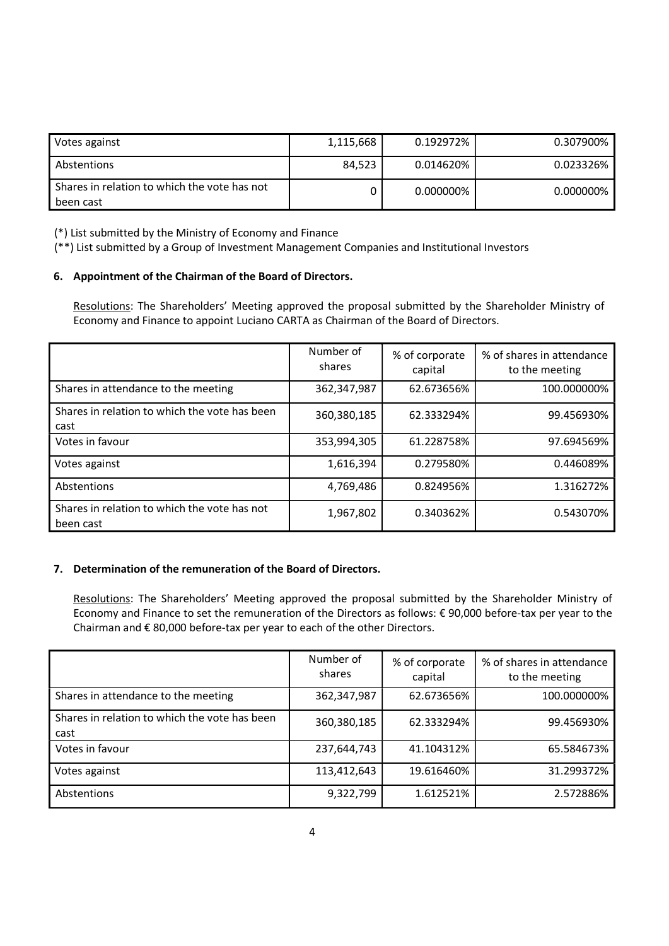| Votes against                                             | 1,115,668 | 0.192972% | 0.307900% |
|-----------------------------------------------------------|-----------|-----------|-----------|
| Abstentions                                               | 84.523    | 0.014620% | 0.023326% |
| Shares in relation to which the vote has not<br>been cast |           | 0.000000% | 0.000000% |

(\*) List submitted by the Ministry of Economy and Finance

(\*\*) List submitted by a Group of Investment Management Companies and Institutional Investors

#### 6. Appointment of the Chairman of the Board of Directors.

Resolutions: The Shareholders' Meeting approved the proposal submitted by the Shareholder Ministry of Economy and Finance to appoint Luciano CARTA as Chairman of the Board of Directors.

|                                                           | Number of<br>shares | % of corporate<br>capital | % of shares in attendance<br>to the meeting |
|-----------------------------------------------------------|---------------------|---------------------------|---------------------------------------------|
| Shares in attendance to the meeting                       | 362,347,987         | 62.673656%                | 100.000000%                                 |
| Shares in relation to which the vote has been<br>cast     | 360,380,185         | 62.333294%                | 99.456930%                                  |
| Votes in favour                                           | 353,994,305         | 61.228758%                | 97.694569%                                  |
| Votes against                                             | 1,616,394           | 0.279580%                 | 0.446089%                                   |
| Abstentions                                               | 4,769,486           | 0.824956%                 | 1.316272%                                   |
| Shares in relation to which the vote has not<br>been cast | 1,967,802           | 0.340362%                 | 0.543070%                                   |

#### 7. Determination of the remuneration of the Board of Directors.

Resolutions: The Shareholders' Meeting approved the proposal submitted by the Shareholder Ministry of Economy and Finance to set the remuneration of the Directors as follows: € 90,000 before-tax per year to the Chairman and € 80,000 before-tax per year to each of the other Directors.

|                                                       | Number of<br>shares | % of corporate<br>capital | % of shares in attendance<br>to the meeting |
|-------------------------------------------------------|---------------------|---------------------------|---------------------------------------------|
| Shares in attendance to the meeting                   | 362,347,987         | 62.673656%                | 100.000000%                                 |
| Shares in relation to which the vote has been<br>cast | 360,380,185         | 62.333294%                | 99.456930%                                  |
| Votes in favour                                       | 237,644,743         | 41.104312%                | 65.584673%                                  |
| Votes against                                         | 113,412,643         | 19.616460%                | 31.299372%                                  |
| Abstentions                                           | 9,322,799           | 1.612521%                 | 2.572886%                                   |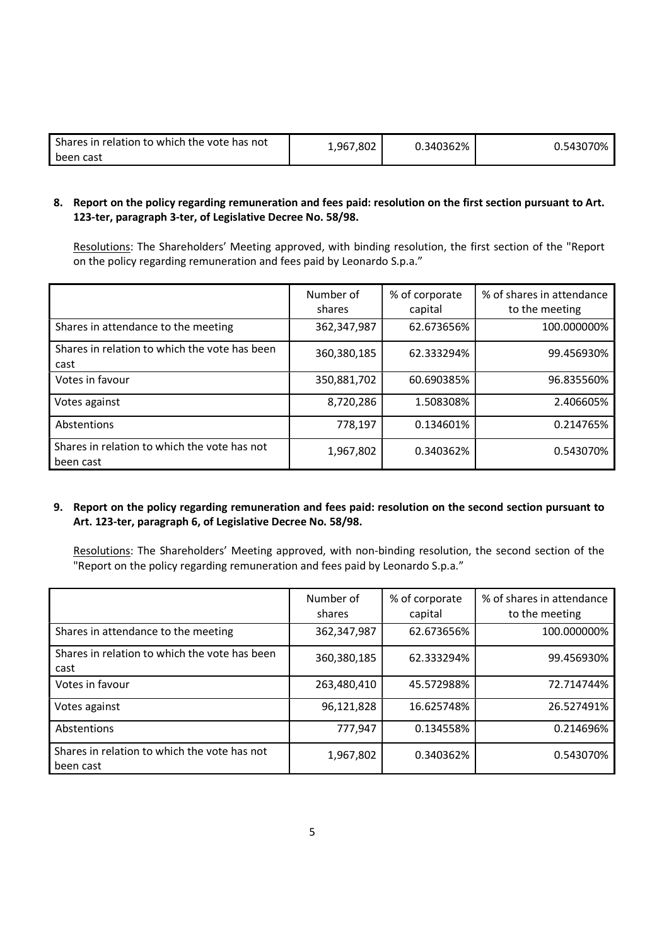| Shares in relation to which the vote has not | 802.'<br>1,967 | 0.340362% | 0.543070% |
|----------------------------------------------|----------------|-----------|-----------|
| been cast                                    |                |           |           |

### 8. Report on the policy regarding remuneration and fees paid: resolution on the first section pursuant to Art. 123-ter, paragraph 3-ter, of Legislative Decree No. 58/98.

Resolutions: The Shareholders' Meeting approved, with binding resolution, the first section of the "Report on the policy regarding remuneration and fees paid by Leonardo S.p.a."

|                                                           | Number of<br>shares | % of corporate<br>capital | % of shares in attendance<br>to the meeting |
|-----------------------------------------------------------|---------------------|---------------------------|---------------------------------------------|
| Shares in attendance to the meeting                       | 362,347,987         | 62.673656%                | 100.000000%                                 |
| Shares in relation to which the vote has been<br>cast     | 360,380,185         | 62.333294%                | 99.456930%                                  |
| Votes in favour                                           | 350,881,702         | 60.690385%                | 96.835560%                                  |
| Votes against                                             | 8,720,286           | 1.508308%                 | 2.406605%                                   |
| Abstentions                                               | 778,197             | 0.134601%                 | 0.214765%                                   |
| Shares in relation to which the vote has not<br>been cast | 1,967,802           | 0.340362%                 | 0.543070%                                   |

#### 9. Report on the policy regarding remuneration and fees paid: resolution on the second section pursuant to Art. 123-ter, paragraph 6, of Legislative Decree No. 58/98.

Resolutions: The Shareholders' Meeting approved, with non-binding resolution, the second section of the "Report on the policy regarding remuneration and fees paid by Leonardo S.p.a."

|                                                           | Number of<br>shares | % of corporate<br>capital | % of shares in attendance<br>to the meeting |
|-----------------------------------------------------------|---------------------|---------------------------|---------------------------------------------|
| Shares in attendance to the meeting                       | 362,347,987         | 62.673656%                | 100.000000%                                 |
| Shares in relation to which the vote has been<br>cast     | 360,380,185         | 62.333294%                | 99.456930%                                  |
| Votes in favour                                           | 263,480,410         | 45.572988%                | 72.714744%                                  |
| Votes against                                             | 96,121,828          | 16.625748%                | 26.527491%                                  |
| Abstentions                                               | 777,947             | 0.134558%                 | 0.214696%                                   |
| Shares in relation to which the vote has not<br>been cast | 1,967,802           | 0.340362%                 | 0.543070%                                   |